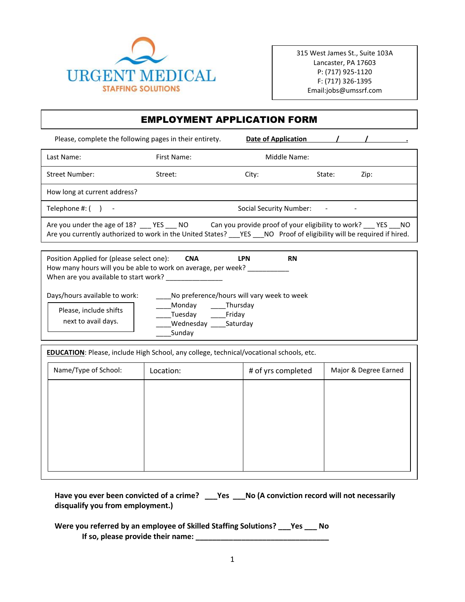

315 West James St., Suite 103A Lancaster, PA 17603 P: (717) 925-1120 F: (717) 326-1395 Email:jobs@umssrf.com

## EMPLOYMENT APPLICATION FORM

Please, complete the following pages in their entirety. **Date of Application** Last Name: The Contract Contract First Name: The Middle Name: Middle Name: Street Number: Street: Street: City: State: Zip: How long at current address? Telephone #: ( ) - Telephone #: ( ) - Social Security Number: - - - - - - - - - -Are you under the age of 18? \_\_\_ YES \_\_\_ NO Can you provide proof of your eligibility to work? \_\_\_ YES \_\_\_ NO

Are you currently authorized to work in the United States? \_\_YES \_\_NO Proof of eligibility will be required if hired.

| Position Applied for (please select one):<br>How many hours will you be able to work on average, per week?<br>When are you available to start work? | <b>CNA</b>                                 | <b>LPN</b>                     | <b>RN</b> |
|-----------------------------------------------------------------------------------------------------------------------------------------------------|--------------------------------------------|--------------------------------|-----------|
| Days/hours available to work:                                                                                                                       | No preference/hours will vary week to week |                                |           |
| Please, include shifts<br>next to avail days.                                                                                                       | Monday<br>Tuesday<br>Wednesday<br>Sunday   | Thursday<br>Friday<br>Saturdav |           |

**EDUCATION**: Please, include High School, any college, technical/vocational schools, etc.

| Name/Type of School: | Location: | # of yrs completed | Major & Degree Earned |  |
|----------------------|-----------|--------------------|-----------------------|--|
|                      |           |                    |                       |  |
|                      |           |                    |                       |  |
|                      |           |                    |                       |  |
|                      |           |                    |                       |  |
|                      |           |                    |                       |  |

**Have you ever been convicted of a crime? \_\_\_Yes \_\_\_No (A conviction record will not necessarily disqualify you from employment.)** 

**Were you referred by an employee of Skilled Staffing Solutions? \_\_\_Yes \_\_\_ No If so, please provide their name: \_\_\_\_\_\_\_\_\_\_\_\_\_\_\_\_\_\_\_\_\_\_\_\_\_\_\_\_\_\_\_\_**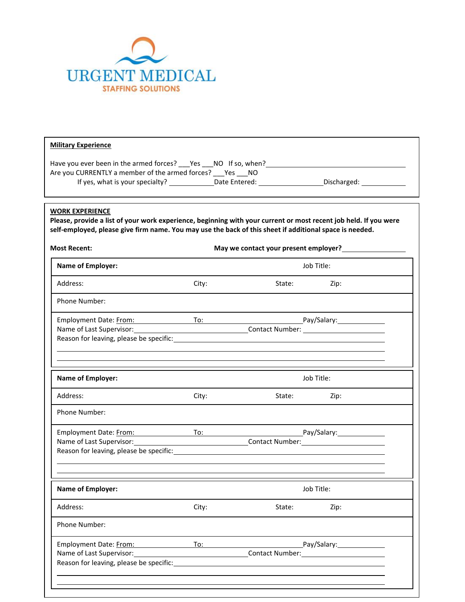

| Are you CURRENTLY a member of the armed forces? ___ Yes ___ NO<br>If yes, what is your specialty? _______________Date Entered: ____________________Discharged: ________________ |       |                                                                                                                |            |  |  |  |
|---------------------------------------------------------------------------------------------------------------------------------------------------------------------------------|-------|----------------------------------------------------------------------------------------------------------------|------------|--|--|--|
| <b>WORK EXPERIENCE</b><br>Please, provide a list of your work experience, beginning with your current or most recent job held. If you were                                      |       |                                                                                                                |            |  |  |  |
| self-employed, please give firm name. You may use the back of this sheet if additional space is needed.                                                                         |       |                                                                                                                |            |  |  |  |
| <b>Most Recent:</b>                                                                                                                                                             |       |                                                                                                                |            |  |  |  |
| <b>Name of Employer:</b>                                                                                                                                                        |       |                                                                                                                | Job Title: |  |  |  |
| Address:                                                                                                                                                                        | City: | State: Zip:                                                                                                    |            |  |  |  |
| Phone Number:                                                                                                                                                                   |       |                                                                                                                |            |  |  |  |
| Employment Date: From: To: To: Pay/Salary: Pay/Salary:                                                                                                                          |       |                                                                                                                |            |  |  |  |
|                                                                                                                                                                                 |       |                                                                                                                |            |  |  |  |
|                                                                                                                                                                                 |       |                                                                                                                |            |  |  |  |
| <b>Name of Employer:</b>                                                                                                                                                        |       |                                                                                                                | Job Title: |  |  |  |
| Address:                                                                                                                                                                        | City: | State: when the state of the state of the state of the state of the state of the state of the state of the sta | Zip:       |  |  |  |
| Phone Number:                                                                                                                                                                   |       |                                                                                                                |            |  |  |  |
| Employment Date: From: To: To: To: Pay/Salary: Pay/Salary:                                                                                                                      |       |                                                                                                                |            |  |  |  |
| Name of Last Supervisor:                                                                                                                                                        |       | Contact Number: Contact 2014                                                                                   |            |  |  |  |
| Reason for leaving, please be specific: Notified a state of the state of the state of the state of the state of                                                                 |       |                                                                                                                |            |  |  |  |
| <b>Name of Employer:</b>                                                                                                                                                        |       |                                                                                                                | Job Title: |  |  |  |
| Address:                                                                                                                                                                        | City: | State:                                                                                                         | Zip:       |  |  |  |
| Phone Number:                                                                                                                                                                   |       |                                                                                                                |            |  |  |  |
|                                                                                                                                                                                 |       |                                                                                                                |            |  |  |  |